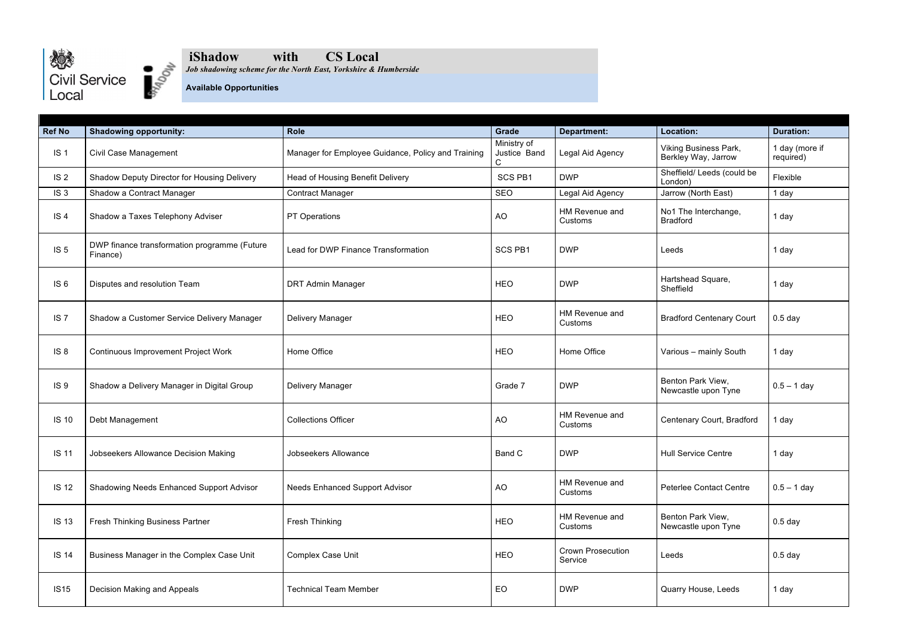



## **iShadow with CS Local**

*Job shadowing scheme for the North East, Yorkshire & Humberside*

## **Available Opportunities**

| <b>Ref No</b>   | <b>Shadowing opportunity:</b>                            | <b>Role</b>                                        | Grade                            | <b>Department:</b>                  | Location:                                           | <b>Duration:</b>            |
|-----------------|----------------------------------------------------------|----------------------------------------------------|----------------------------------|-------------------------------------|-----------------------------------------------------|-----------------------------|
| IS <sub>1</sub> | Civil Case Management                                    | Manager for Employee Guidance, Policy and Training | Ministry of<br>Justice Band<br>C | Legal Aid Agency                    | <b>Viking Business Park,</b><br>Berkley Way, Jarrow | 1 day (more if<br>required) |
| IS <sub>2</sub> | Shadow Deputy Director for Housing Delivery              | Head of Housing Benefit Delivery                   | <b>SCS PB1</b>                   | <b>DWP</b>                          | Sheffield/ Leeds (could be<br>London)               | Flexible                    |
| IS <sub>3</sub> | Shadow a Contract Manager                                | <b>Contract Manager</b>                            | SEO                              | Legal Aid Agency                    | Jarrow (North East)                                 | 1 day                       |
| IS <sub>4</sub> | Shadow a Taxes Telephony Adviser                         | <b>PT Operations</b>                               | <b>AO</b>                        | HM Revenue and<br>Customs           | No1 The Interchange,<br><b>Bradford</b>             | 1 day                       |
| IS <sub>5</sub> | DWP finance transformation programme (Future<br>Finance) | Lead for DWP Finance Transformation                | <b>SCS PB1</b>                   | <b>DWP</b>                          | Leeds                                               | 1 day                       |
| IS <sub>6</sub> | Disputes and resolution Team                             | <b>DRT Admin Manager</b>                           | <b>HEO</b>                       | <b>DWP</b>                          | Hartshead Square,<br>Sheffield                      | 1 day                       |
| IS <sub>7</sub> | Shadow a Customer Service Delivery Manager               | <b>Delivery Manager</b>                            | <b>HEO</b>                       | HM Revenue and<br>Customs           | <b>Bradford Centenary Court</b>                     | $0.5$ day                   |
| IS <sub>8</sub> | <b>Continuous Improvement Project Work</b>               | Home Office                                        | <b>HEO</b>                       | Home Office                         | Various - mainly South                              | 1 day                       |
| IS <sub>9</sub> | Shadow a Delivery Manager in Digital Group               | Delivery Manager                                   | Grade 7                          | <b>DWP</b>                          | Benton Park View,<br>Newcastle upon Tyne            | $0.5 - 1$ day               |
| <b>IS 10</b>    | Debt Management                                          | <b>Collections Officer</b>                         | <b>AO</b>                        | HM Revenue and<br>Customs           | Centenary Court, Bradford                           | 1 day                       |
| <b>IS 11</b>    | Jobseekers Allowance Decision Making                     | Jobseekers Allowance                               | Band C                           | <b>DWP</b>                          | <b>Hull Service Centre</b>                          | 1 day                       |
| <b>IS 12</b>    | Shadowing Needs Enhanced Support Advisor                 | <b>Needs Enhanced Support Advisor</b>              | <b>AO</b>                        | HM Revenue and<br>Customs           | <b>Peterlee Contact Centre</b>                      | $0.5 - 1$ day               |
| <b>IS 13</b>    | <b>Fresh Thinking Business Partner</b>                   | Fresh Thinking                                     | <b>HEO</b>                       | HM Revenue and<br>Customs           | Benton Park View,<br>Newcastle upon Tyne            | $0.5$ day                   |
| <b>IS 14</b>    | Business Manager in the Complex Case Unit                | <b>Complex Case Unit</b>                           | <b>HEO</b>                       | <b>Crown Prosecution</b><br>Service | Leeds                                               | $0.5$ day                   |
| <b>IS15</b>     | Decision Making and Appeals                              | <b>Technical Team Member</b>                       | EO                               | <b>DWP</b>                          | Quarry House, Leeds                                 | 1 day                       |